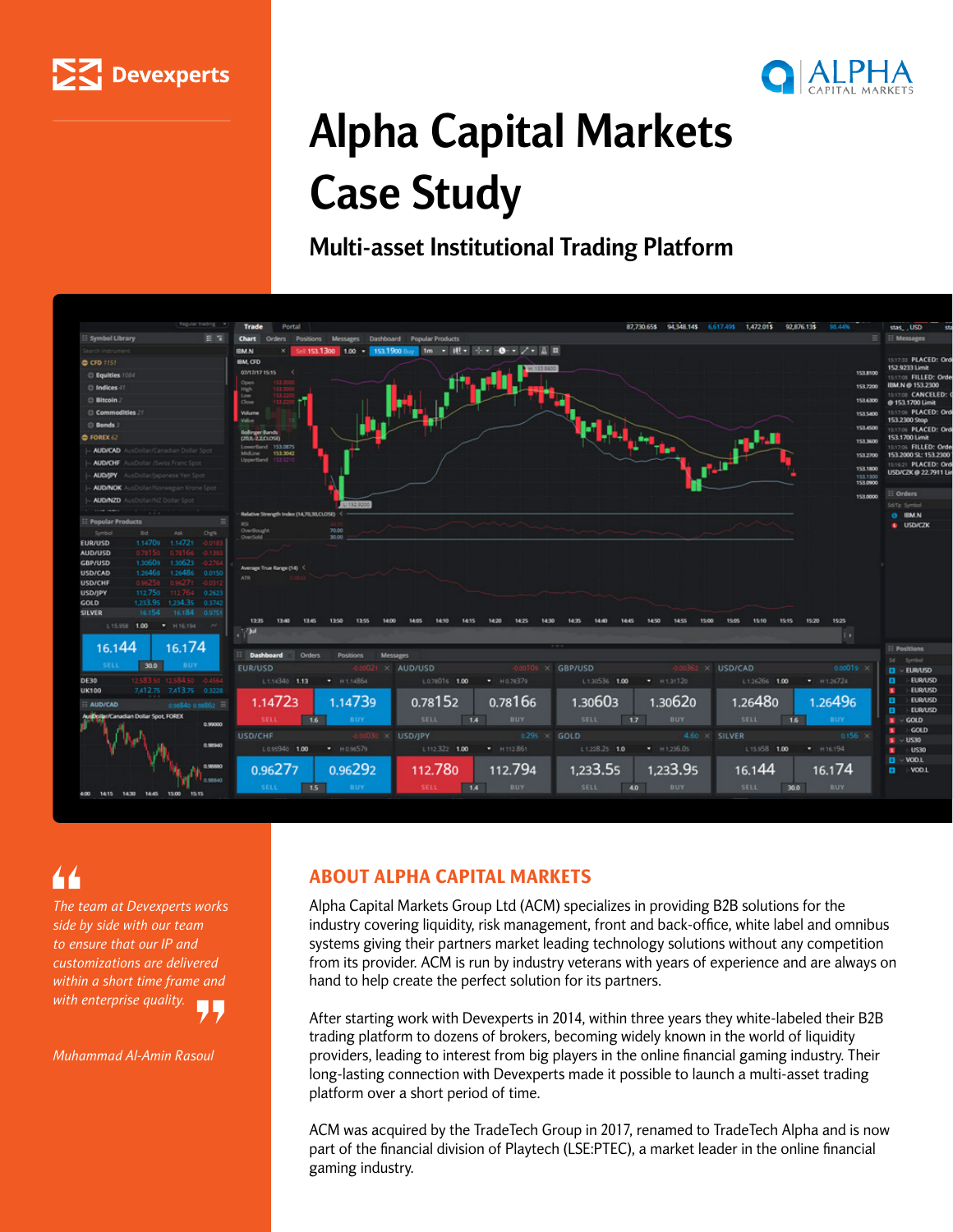



# **Alpha Capital Markets Case Study**

**Multi-asset Institutional Trading Platform**



*The team at Devexperts works side by side with our team to ensure that our IP and customizations are delivered within a short time frame and with enterprise quality.*

*Muhammad Al-Amin Rasoul*

### ABOUT ALPHA CAPITAL MARKETS

Alpha Capital Markets Group Ltd (ACM) specializes in providing B2B solutions for the industry covering liquidity, risk management, front and back-office, white label and omnibus systems giving their partners market leading technology solutions without any competition from its provider. ACM is run by industry veterans with years of experience and are always on hand to help create the perfect solution for its partners.

After starting work with Devexperts in 2014, within three years they white-labeled their B2B trading platform to dozens of brokers, becoming widely known in the world of liquidity providers, leading to interest from big players in the online financial gaming industry. Their long-lasting connection with Devexperts made it possible to launch a multi-asset trading platform over a short period of time.

ACM was acquired by the TradeTech Group in 2017, renamed to TradeTech Alpha and is now part of the financial division of Playtech (LSE:PTEC), a market leader in the online financial gaming industry.